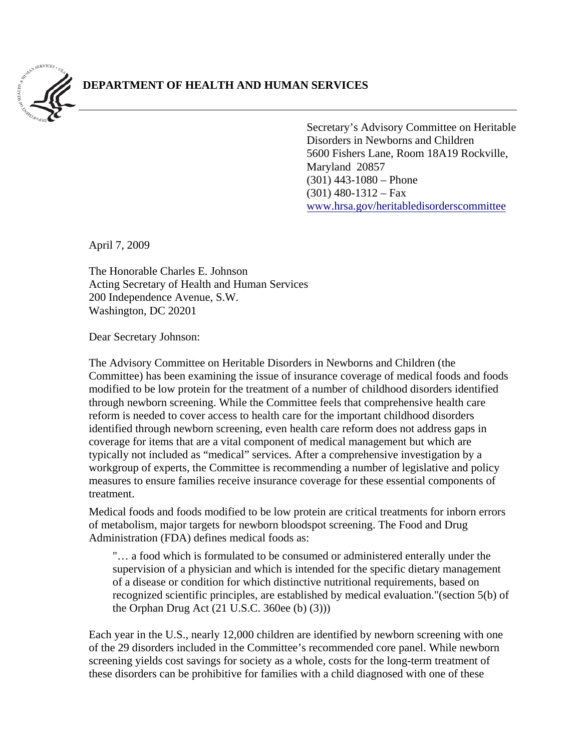

## **DEPARTMENT OF HEALTH AND HUMAN SERVICES**

Secretary's Advisory Committee on Heritable Disorders in Newborns and Children 5600 Fishers Lane, Room 18A19 Rockville, Maryland 20857  $(301)$  443-1080 – Phone  $(301)$  480-1312 – Fax ww[w.hrsa.gov/heritabledisorderscommittee](http://www.hrsa.gov/heritabledisorderscommittee)

April 7, 2009

The Honorable Charles E. Johnson Acting Secretary of Health and Human Services 200 Independence Avenue, S.W. Washington, DC 20201

Dear Secretary Johnson:

The Advisory Committee on Heritable Disorders in Newborns and Children (the Committee) has been examining the issue of insurance coverage of medical foods and foods modified to be low protein for the treatment of a number of childhood disorders identified through newborn screening. While the Committee feels that comprehensive health care reform is needed to cover access to health care for the important childhood disorders identified through newborn screening, even health care reform does not address gaps in coverage for items that are a vital component of medical management but which are typically not included as "medical" services. After a comprehensive investigation by a workgroup of experts, the Committee is recommending a number of legislative and policy measures to ensure families receive insurance coverage for these essential components of treatment.

Medical foods and foods modified to be low protein are critical treatments for inborn errors of metabolism, major targets for newborn bloodspot screening. The Food and Drug Administration (FDA) defines medical foods as:

"… a food which is formulated to be consumed or administered enterally under the supervision of a physician and which is intended for the specific dietary management of a disease or condition for which distinctive nutritional requirements, based on recognized scientific principles, are established by medical evaluation."(section 5(b) of the Orphan Drug Act (21 U.S.C. 360ee (b) (3)))

Each year in the U.S., nearly 12,000 children are identified by newborn screening with one of the 29 disorders included in the Committee's recommended core panel. While newborn screening yields cost savings for society as a whole, costs for the long-term treatment of these disorders can be prohibitive for families with a child diagnosed with one of these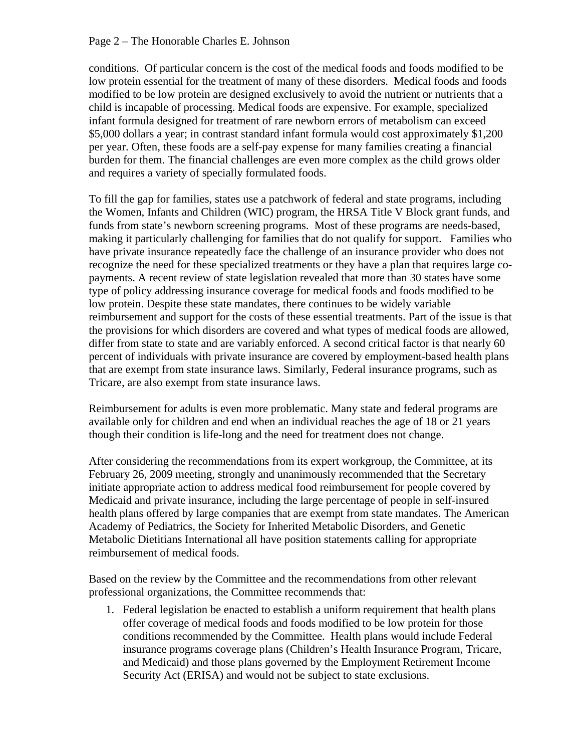## Page 2 – The Honorable Charles E. Johnson

conditions. Of particular concern is the cost of the medical foods and foods modified to be low protein essential for the treatment of many of these disorders. Medical foods and foods modified to be low protein are designed exclusively to avoid the nutrient or nutrients that a child is incapable of processing. Medical foods are expensive. For example, specialized infant formula designed for treatment of rare newborn errors of metabolism can exceed \$5,000 dollars a year; in contrast standard infant formula would cost approximately \$1,200 per year. Often, these foods are a self-pay expense for many families creating a financial burden for them. The financial challenges are even more complex as the child grows older and requires a variety of specially formulated foods.

To fill the gap for families, states use a patchwork of federal and state programs, including the Women, Infants and Children (WIC) program, the HRSA Title V Block grant funds, and funds from state's newborn screening programs. Most of these programs are needs-based, making it particularly challenging for families that do not qualify for support. Families who have private insurance repeatedly face the challenge of an insurance provider who does not recognize the need for these specialized treatments or they have a plan that requires large copayments. A recent review of state legislation revealed that more than 30 states have some type of policy addressing insurance coverage for medical foods and foods modified to be low protein. Despite these state mandates, there continues to be widely variable reimbursement and support for the costs of these essential treatments. Part of the issue is that the provisions for which disorders are covered and what types of medical foods are allowed, differ from state to state and are variably enforced. A second critical factor is that nearly 60 percent of individuals with private insurance are covered by employment-based health plans that are exempt from state insurance laws. Similarly, Federal insurance programs, such as Tricare, are also exempt from state insurance laws.

Reimbursement for adults is even more problematic. Many state and federal programs are available only for children and end when an individual reaches the age of 18 or 21 years though their condition is life-long and the need for treatment does not change.

After considering the recommendations from its expert workgroup, the Committee, at its February 26, 2009 meeting, strongly and unanimously recommended that the Secretary initiate appropriate action to address medical food reimbursement for people covered by Medicaid and private insurance, including the large percentage of people in self-insured health plans offered by large companies that are exempt from state mandates. The American Academy of Pediatrics, the Society for Inherited Metabolic Disorders, and Genetic Metabolic Dietitians International all have position statements calling for appropriate reimbursement of medical foods.

Based on the review by the Committee and the recommendations from other relevant professional organizations, the Committee recommends that:

1. Federal legislation be enacted to establish a uniform requirement that health plans offer coverage of medical foods and foods modified to be low protein for those conditions recommended by the Committee. Health plans would include Federal insurance programs coverage plans (Children's Health Insurance Program, Tricare, and Medicaid) and those plans governed by the Employment Retirement Income Security Act (ERISA) and would not be subject to state exclusions.